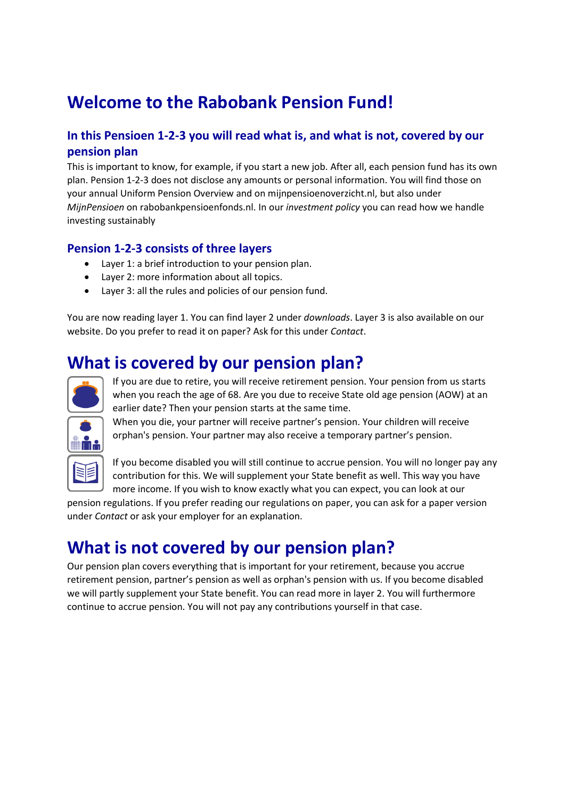# **Welcome to the Rabobank Pension Fund!**

#### **In this Pensioen 1-2-3 you will read what is, and what is not, covered by our pension plan**

This is important to know, for example, if you start a new job. After all, each pension fund has its own plan. Pension 1-2-3 does not disclose any amounts or personal information. You will find those on your annual Uniform Pension Overview and on mijnpensioenoverzicht.nl, but also under *MijnPensioen* on rabobankpensioenfonds.nl. In our *investment policy* you can read how we handle investing sustainably

#### **Pension 1-2-3 consists of three layers**

- Layer 1: a brief introduction to your pension plan.
- Layer 2: more information about all topics.
- Layer 3: all the rules and policies of our pension fund.

You are now reading layer 1. You can find layer 2 under *downloads*. Layer 3 is also available on our website. Do you prefer to read it on paper? Ask for this under *Contact*.

## **What is covered by our pension plan?**



If you are due to retire, you will receive retirement pension. Your pension from us starts when you reach the age of 68. Are you due to receive State old age pension (AOW) at an earlier date? Then your pension starts at the same time.

When you die, your partner will receive partner's pension. Your children will receive orphan's pension. Your partner may also receive a temporary partner's pension.

If you become disabled you will still continue to accrue pension. You will no longer pay any contribution for this. We will supplement your State benefit as well. This way you have more income. If you wish to know exactly what you can expect, you can look at our

pension regulations. If you prefer reading our regulations on paper, you can ask for a paper version under *Contact* or ask your employer for an explanation.

#### **What is not covered by our pension plan?**

Our pension plan covers everything that is important for your retirement, because you accrue retirement pension, partner's pension as well as orphan's pension with us. If you become disabled we will partly supplement your State benefit. You can read more in layer 2. You will furthermore continue to accrue pension. You will not pay any contributions yourself in that case.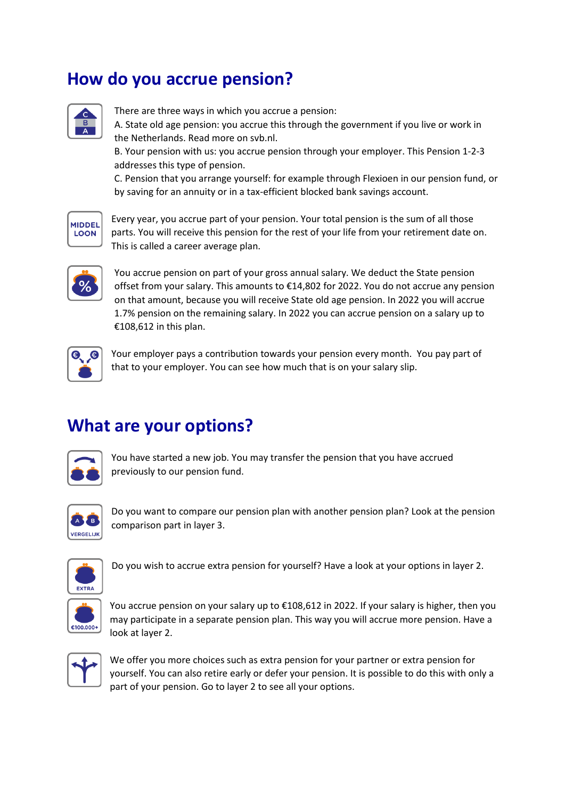#### **How do you accrue pension?**



There are three ways in which you accrue a pension:

A. State old age pension: you accrue this through the government if you live or work in the Netherlands. Read more on svb.nl.

B. Your pension with us: you accrue pension through your employer. This Pension 1-2-3 addresses this type of pension.

C. Pension that you arrange yourself: for example through Flexioen in our pension fund, or by saving for an annuity or in a tax-efficient blocked bank savings account.



Every year, you accrue part of your pension. Your total pension is the sum of all those parts. You will receive this pension for the rest of your life from your retirement date on. This is called a career average plan.



You accrue pension on part of your gross annual salary. We deduct the State pension offset from your salary. This amounts to €14,802 for 2022. You do not accrue any pension on that amount, because you will receive State old age pension. In 2022 you will accrue 1.7% pension on the remaining salary. In 2022 you can accrue pension on a salary up to €108,612 in this plan.



Your employer pays a contribution towards your pension every month. You pay part of that to your employer. You can see how much that is on your salary slip.

## **What are your options?**



You have started a new job. You may transfer the pension that you have accrued previously to our pension fund.



Do you want to compare our pension plan with another pension plan? Look at the pension comparison part in layer 3.



Do you wish to accrue extra pension for yourself? Have a look at your options in layer 2.



You accrue pension on your salary up to €108,612 in 2022. If your salary is higher, then you may participate in a separate pension plan. This way you will accrue more pension. Have a look at layer 2.



We offer you more choices such as extra pension for your partner or extra pension for yourself. You can also retire early or defer your pension. It is possible to do this with only a part of your pension. Go to layer 2 to see all your options.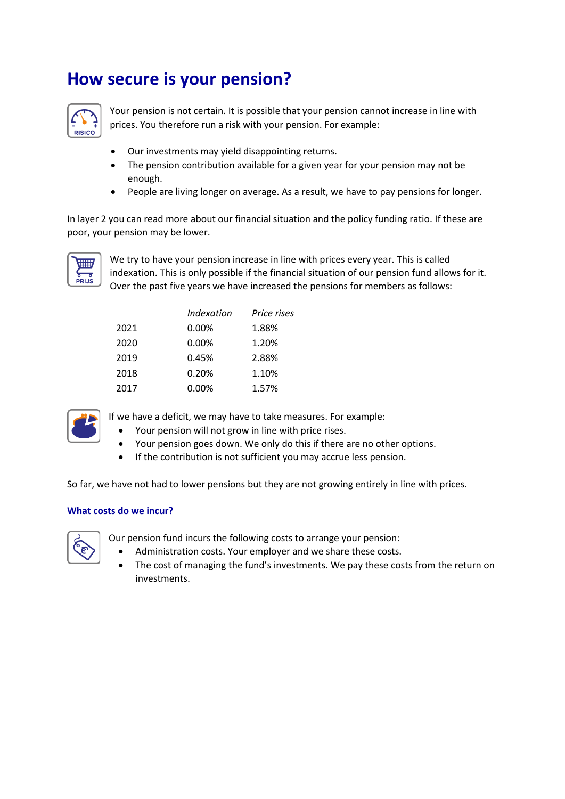#### **How secure is your pension?**



Your pension is not certain. It is possible that your pension cannot increase in line with prices. You therefore run a risk with your pension. For example:

- Our investments may yield disappointing returns.
- The pension contribution available for a given year for your pension may not be enough.
- People are living longer on average. As a result, we have to pay pensions for longer.

In layer 2 you can read more about our financial situation and the policy funding ratio. If these are poor, your pension may be lower.



We try to have your pension increase in line with prices every year. This is called indexation. This is only possible if the financial situation of our pension fund allows for it. Over the past five years we have increased the pensions for members as follows:

|      | <b>Indexation</b> | Price rises |
|------|-------------------|-------------|
| 2021 | 0.00%             | 1.88%       |
| 2020 | 0.00%             | 1.20%       |
| 2019 | 0.45%             | 2.88%       |
| 2018 | 0.20%             | 1.10%       |
| 2017 | 0.00%             | 1.57%       |



If we have a deficit, we may have to take measures. For example:

- Your pension will not grow in line with price rises.
- Your pension goes down. We only do this if there are no other options.
- If the contribution is not sufficient you may accrue less pension.

So far, we have not had to lower pensions but they are not growing entirely in line with prices.

#### **What costs do we incur?**



Our pension fund incurs the following costs to arrange your pension:

- Administration costs. Your employer and we share these costs.
- The cost of managing the fund's investments. We pay these costs from the return on investments.